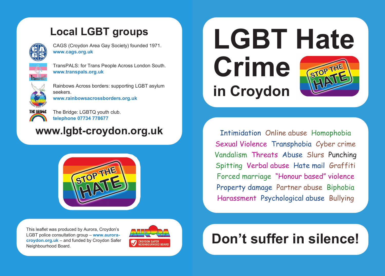## **Local LGBT groups**



CAGS (Croydon Area Gay Society) founded 1971. **www.cags.org.uk**



TransPALS: for Trans People Across London South. **www.transpals.org.uk**



Rainbows Across borders: supporting LGBT asylum seekers. **www.rainbowsacrossborders.org.uk**



The Bridge: LGBTQ youth club. **telephone 07734 778677** 

## **www.lgbt-croydon.org.uk**



This leaflet was produced by Aurora, Croydon's LGBT police consultation group – **www.auroracroydon.org.uk** – and funded by Croydon Safer Neighbourhood Board.



**LGBT Hate Crime** STOP THE **in Croydon**

Intimidation Online abuse Homophobia Sexual Violence Transphobia Cyber crime Vandalism Threats Abuse Slurs Punching Spitting Verbal abuse Hate mail Graffiti Forced marriage "Honour based" violence Property damage Partner abuse Biphobia Harassment Psychological abuse Bullying

## **Don't suffer in silence!**